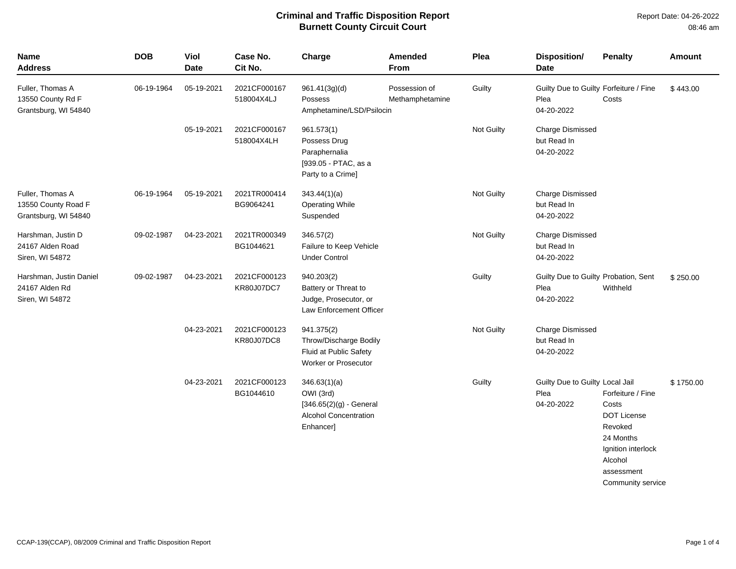| Name<br><b>Address</b>                                          | <b>DOB</b> | Viol<br><b>Date</b> | Case No.<br>Cit No.               | Charge                                                                                              | Amended<br>From                  | Plea       | <b>Disposition/</b><br><b>Date</b>                           | <b>Penalty</b>                                                                                                                               | <b>Amount</b> |
|-----------------------------------------------------------------|------------|---------------------|-----------------------------------|-----------------------------------------------------------------------------------------------------|----------------------------------|------------|--------------------------------------------------------------|----------------------------------------------------------------------------------------------------------------------------------------------|---------------|
| Fuller, Thomas A<br>13550 County Rd F<br>Grantsburg, WI 54840   | 06-19-1964 | 05-19-2021          | 2021CF000167<br>518004X4LJ        | 961.41(3g)(d)<br>Possess<br>Amphetamine/LSD/Psilocin                                                | Possession of<br>Methamphetamine | Guilty     | Guilty Due to Guilty Forfeiture / Fine<br>Plea<br>04-20-2022 | Costs                                                                                                                                        | \$443.00      |
|                                                                 |            | 05-19-2021          | 2021CF000167<br>518004X4LH        | 961.573(1)<br>Possess Drug<br>Paraphernalia<br>[939.05 - PTAC, as a<br>Party to a Crime]            |                                  | Not Guilty | <b>Charge Dismissed</b><br>but Read In<br>04-20-2022         |                                                                                                                                              |               |
| Fuller, Thomas A<br>13550 County Road F<br>Grantsburg, WI 54840 | 06-19-1964 | 05-19-2021          | 2021TR000414<br>BG9064241         | 343.44(1)(a)<br><b>Operating While</b><br>Suspended                                                 |                                  | Not Guilty | <b>Charge Dismissed</b><br>but Read In<br>04-20-2022         |                                                                                                                                              |               |
| Harshman, Justin D<br>24167 Alden Road<br>Siren, WI 54872       | 09-02-1987 | 04-23-2021          | 2021TR000349<br>BG1044621         | 346.57(2)<br>Failure to Keep Vehicle<br><b>Under Control</b>                                        |                                  | Not Guilty | <b>Charge Dismissed</b><br>but Read In<br>04-20-2022         |                                                                                                                                              |               |
| Harshman, Justin Daniel<br>24167 Alden Rd<br>Siren, WI 54872    | 09-02-1987 | 04-23-2021          | 2021CF000123<br><b>KR80J07DC7</b> | 940.203(2)<br>Battery or Threat to<br>Judge, Prosecutor, or<br>Law Enforcement Officer              |                                  | Guilty     | Guilty Due to Guilty Probation, Sent<br>Plea<br>04-20-2022   | Withheld                                                                                                                                     | \$250.00      |
|                                                                 |            | 04-23-2021          | 2021CF000123<br>KR80J07DC8        | 941.375(2)<br>Throw/Discharge Bodily<br>Fluid at Public Safety<br><b>Worker or Prosecutor</b>       |                                  | Not Guilty | <b>Charge Dismissed</b><br>but Read In<br>04-20-2022         |                                                                                                                                              |               |
|                                                                 |            | 04-23-2021          | 2021CF000123<br>BG1044610         | 346.63(1)(a)<br>OWI (3rd)<br>$[346.65(2)(g)$ - General<br><b>Alcohol Concentration</b><br>Enhancer] |                                  | Guilty     | Guilty Due to Guilty Local Jail<br>Plea<br>04-20-2022        | Forfeiture / Fine<br>Costs<br><b>DOT License</b><br>Revoked<br>24 Months<br>Ignition interlock<br>Alcohol<br>assessment<br>Community service | \$1750.00     |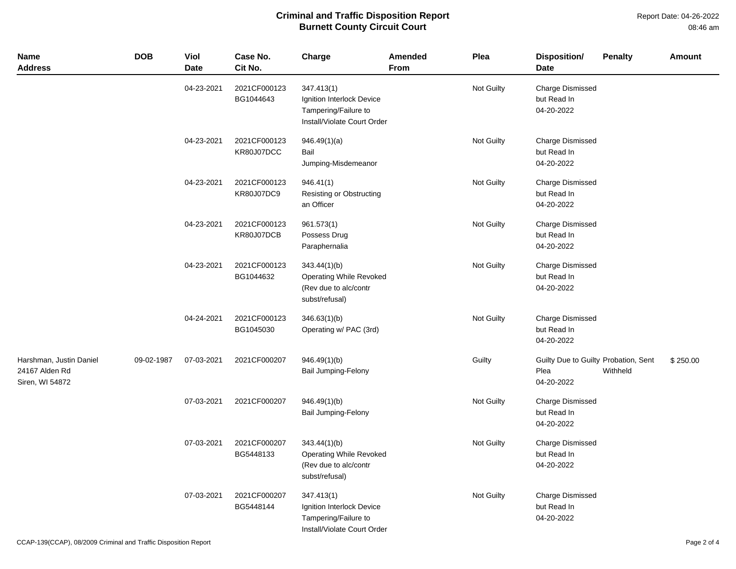| <b>Name</b><br><b>Address</b>                                | <b>DOB</b> | Viol<br><b>Date</b> | Case No.<br>Cit No.        | Charge                                                                                         | Amended<br><b>From</b> | Plea       | Disposition/<br>Date                                       | <b>Penalty</b> | <b>Amount</b> |
|--------------------------------------------------------------|------------|---------------------|----------------------------|------------------------------------------------------------------------------------------------|------------------------|------------|------------------------------------------------------------|----------------|---------------|
|                                                              |            | 04-23-2021          | 2021CF000123<br>BG1044643  | 347.413(1)<br>Ignition Interlock Device<br>Tampering/Failure to<br>Install/Violate Court Order |                        | Not Guilty | <b>Charge Dismissed</b><br>but Read In<br>04-20-2022       |                |               |
|                                                              |            | 04-23-2021          | 2021CF000123<br>KR80J07DCC | 946.49(1)(a)<br>Bail<br>Jumping-Misdemeanor                                                    |                        | Not Guilty | Charge Dismissed<br>but Read In<br>04-20-2022              |                |               |
|                                                              |            | 04-23-2021          | 2021CF000123<br>KR80J07DC9 | 946.41(1)<br>Resisting or Obstructing<br>an Officer                                            |                        | Not Guilty | Charge Dismissed<br>but Read In<br>04-20-2022              |                |               |
|                                                              |            | 04-23-2021          | 2021CF000123<br>KR80J07DCB | 961.573(1)<br>Possess Drug<br>Paraphernalia                                                    |                        | Not Guilty | Charge Dismissed<br>but Read In<br>04-20-2022              |                |               |
|                                                              |            | 04-23-2021          | 2021CF000123<br>BG1044632  | 343.44(1)(b)<br><b>Operating While Revoked</b><br>(Rev due to alc/contr<br>subst/refusal)      |                        | Not Guilty | Charge Dismissed<br>but Read In<br>04-20-2022              |                |               |
|                                                              |            | 04-24-2021          | 2021CF000123<br>BG1045030  | 346.63(1)(b)<br>Operating w/ PAC (3rd)                                                         |                        | Not Guilty | <b>Charge Dismissed</b><br>but Read In<br>04-20-2022       |                |               |
| Harshman, Justin Daniel<br>24167 Alden Rd<br>Siren, WI 54872 | 09-02-1987 | 07-03-2021          | 2021CF000207               | 946.49(1)(b)<br>Bail Jumping-Felony                                                            |                        | Guilty     | Guilty Due to Guilty Probation, Sent<br>Plea<br>04-20-2022 | Withheld       | \$250.00      |
|                                                              |            | 07-03-2021          | 2021CF000207               | 946.49(1)(b)<br><b>Bail Jumping-Felony</b>                                                     |                        | Not Guilty | <b>Charge Dismissed</b><br>but Read In<br>04-20-2022       |                |               |
|                                                              |            | 07-03-2021          | 2021CF000207<br>BG5448133  | 343.44(1)(b)<br><b>Operating While Revoked</b><br>(Rev due to alc/contr<br>subst/refusal)      |                        | Not Guilty | Charge Dismissed<br>but Read In<br>04-20-2022              |                |               |
|                                                              |            | 07-03-2021          | 2021CF000207<br>BG5448144  | 347.413(1)<br>Ignition Interlock Device<br>Tampering/Failure to<br>Install/Violate Court Order |                        | Not Guilty | <b>Charge Dismissed</b><br>but Read In<br>04-20-2022       |                |               |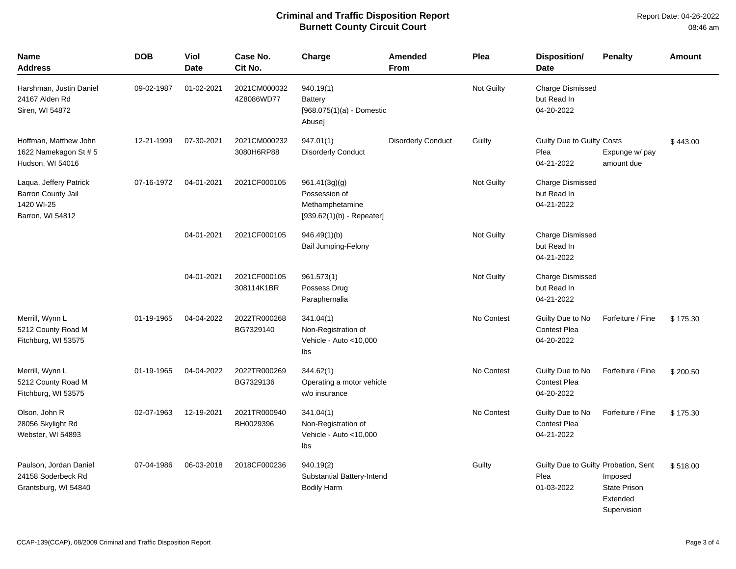| <b>Name</b><br>Address                                                                | <b>DOB</b> | <b>Viol</b><br><b>Date</b> | Case No.<br>Cit No.        | Charge                                                                           | <b>Amended</b><br>From    | Plea       | <b>Disposition/</b><br><b>Date</b>                         | <b>Penalty</b>                                            | <b>Amount</b> |
|---------------------------------------------------------------------------------------|------------|----------------------------|----------------------------|----------------------------------------------------------------------------------|---------------------------|------------|------------------------------------------------------------|-----------------------------------------------------------|---------------|
| Harshman, Justin Daniel<br>24167 Alden Rd<br>Siren, WI 54872                          | 09-02-1987 | 01-02-2021                 | 2021CM000032<br>4Z8086WD77 | 940.19(1)<br><b>Battery</b><br>$[968.075(1)(a) -$ Domestic<br>Abuse]             |                           | Not Guilty | <b>Charge Dismissed</b><br>but Read In<br>04-20-2022       |                                                           |               |
| Hoffman, Matthew John<br>1622 Namekagon St # 5<br>Hudson, WI 54016                    | 12-21-1999 | 07-30-2021                 | 2021CM000232<br>3080H6RP88 | 947.01(1)<br><b>Disorderly Conduct</b>                                           | <b>Disorderly Conduct</b> | Guilty     | Guilty Due to Guilty Costs<br>Plea<br>04-21-2022           | Expunge w/ pay<br>amount due                              | \$443.00      |
| Laqua, Jeffery Patrick<br><b>Barron County Jail</b><br>1420 WI-25<br>Barron, WI 54812 | 07-16-1972 | 04-01-2021                 | 2021CF000105               | 961.41(3g)(g)<br>Possession of<br>Methamphetamine<br>$[939.62(1)(b) - Repeated]$ |                           | Not Guilty | <b>Charge Dismissed</b><br>but Read In<br>04-21-2022       |                                                           |               |
|                                                                                       |            | 04-01-2021                 | 2021CF000105               | 946.49(1)(b)<br><b>Bail Jumping-Felony</b>                                       |                           | Not Guilty | <b>Charge Dismissed</b><br>but Read In<br>04-21-2022       |                                                           |               |
|                                                                                       |            | 04-01-2021                 | 2021CF000105<br>308114K1BR | 961.573(1)<br>Possess Drug<br>Paraphernalia                                      |                           | Not Guilty | <b>Charge Dismissed</b><br>but Read In<br>04-21-2022       |                                                           |               |
| Merrill, Wynn L<br>5212 County Road M<br>Fitchburg, WI 53575                          | 01-19-1965 | 04-04-2022                 | 2022TR000268<br>BG7329140  | 341.04(1)<br>Non-Registration of<br>Vehicle - Auto <10,000<br>Ibs                |                           | No Contest | Guilty Due to No<br><b>Contest Plea</b><br>04-20-2022      | Forfeiture / Fine                                         | \$175.30      |
| Merrill, Wynn L<br>5212 County Road M<br>Fitchburg, WI 53575                          | 01-19-1965 | 04-04-2022                 | 2022TR000269<br>BG7329136  | 344.62(1)<br>Operating a motor vehicle<br>w/o insurance                          |                           | No Contest | Guilty Due to No<br><b>Contest Plea</b><br>04-20-2022      | Forfeiture / Fine                                         | \$200.50      |
| Olson, John R<br>28056 Skylight Rd<br>Webster, WI 54893                               | 02-07-1963 | 12-19-2021                 | 2021TR000940<br>BH0029396  | 341.04(1)<br>Non-Registration of<br>Vehicle - Auto <10,000<br>lbs                |                           | No Contest | Guilty Due to No<br><b>Contest Plea</b><br>04-21-2022      | Forfeiture / Fine                                         | \$175.30      |
| Paulson, Jordan Daniel<br>24158 Soderbeck Rd<br>Grantsburg, WI 54840                  | 07-04-1986 | 06-03-2018                 | 2018CF000236               | 940.19(2)<br>Substantial Battery-Intend<br><b>Bodily Harm</b>                    |                           | Guilty     | Guilty Due to Guilty Probation, Sent<br>Plea<br>01-03-2022 | Imposed<br><b>State Prison</b><br>Extended<br>Supervision | \$518.00      |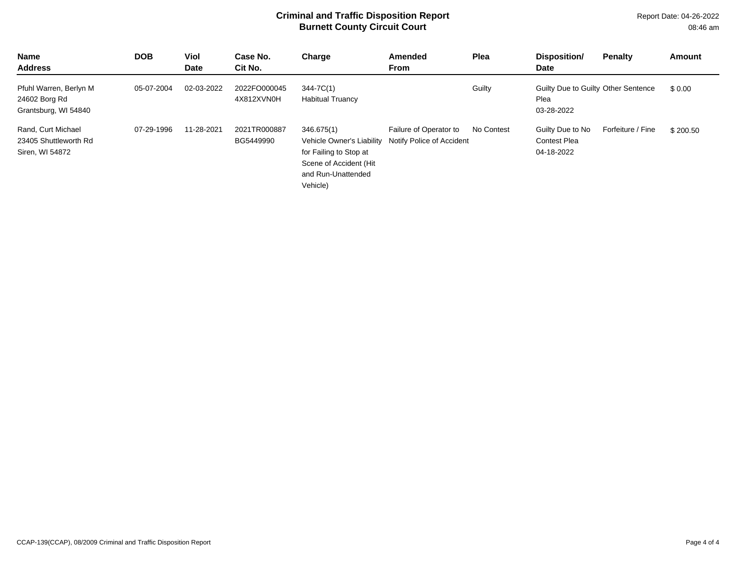| Name<br><b>Address</b>                                          | <b>DOB</b> | <b>Viol</b><br><b>Date</b> | Case No.<br>Cit No.        | Charge                                                                                    | <b>Amended</b><br><b>From</b>                                                 | Plea       | Disposition/<br><b>Date</b>                               | <b>Penalty</b>    | Amount   |
|-----------------------------------------------------------------|------------|----------------------------|----------------------------|-------------------------------------------------------------------------------------------|-------------------------------------------------------------------------------|------------|-----------------------------------------------------------|-------------------|----------|
| Pfuhl Warren, Berlyn M<br>24602 Borg Rd<br>Grantsburg, WI 54840 | 05-07-2004 | 02-03-2022                 | 2022FO000045<br>4X812XVN0H | 344-7C(1)<br><b>Habitual Truancy</b>                                                      |                                                                               | Guilty     | Guilty Due to Guilty Other Sentence<br>Plea<br>03-28-2022 |                   | \$0.00   |
| Rand, Curt Michael<br>23405 Shuttleworth Rd<br>Siren, WI 54872  | 07-29-1996 | 11-28-2021                 | 2021TR000887<br>BG5449990  | 346.675(1)<br>for Failing to Stop at<br>Scene of Accident (Hit<br>and Run-Unattended<br>. | Failure of Operator to<br>Vehicle Owner's Liability Notify Police of Accident | No Contest | Guilty Due to No<br><b>Contest Plea</b><br>04-18-2022     | Forfeiture / Fine | \$200.50 |

Vehicle)